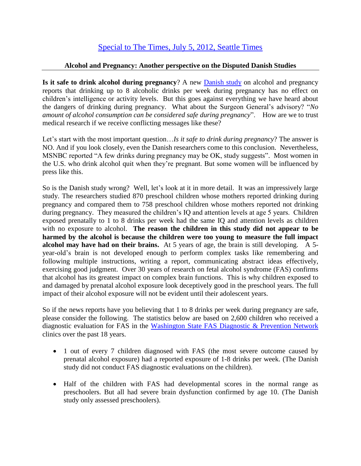## **Alcohol and Pregnancy: Another perspective on the Disputed Danish Studies**

**Is it safe to drink alcohol during pregnancy**? A new [Danish study](http://www.bjog.org/details/news/2085661/Danish_studies_suggest_low_and_moderate_drinking_in_early_pregnancy_has_no_adver.html) on alcohol and pregnancy reports that drinking up to 8 alcoholic drinks per week during pregnancy has no effect on children's intelligence or activity levels. But this goes against everything we have heard about the dangers of drinking during pregnancy. What about the Surgeon General's advisory? "*No amount of alcohol consumption can be considered safe during pregnancy*". How are we to trust medical research if we receive conflicting messages like these?

Let's start with the most important question…*Is it safe to drink during pregnancy*? The answer is NO. And if you look closely, even the Danish researchers come to this conclusion. Nevertheless, MSNBC reported "A few drinks during pregnancy may be OK, study suggests". Most women in the U.S. who drink alcohol quit when they're pregnant. But some women will be influenced by press like this.

So is the Danish study wrong? Well, let's look at it in more detail. It was an impressively large study. The researchers studied 870 preschool children whose mothers reported drinking during pregnancy and compared them to 758 preschool children whose mothers reported not drinking during pregnancy. They measured the children's IQ and attention levels at age 5 years. Children exposed prenatally to 1 to 8 drinks per week had the same IQ and attention levels as children with no exposure to alcohol. **The reason the children in this study did not appear to be harmed by the alcohol is because the children were too young to measure the full impact alcohol may have had on their brains.** At 5 years of age, the brain is still developing. A 5 year-old's brain is not developed enough to perform complex tasks like remembering and following multiple instructions, writing a report, communicating abstract ideas effectively, exercising good judgment. Over 30 years of research on fetal alcohol syndrome (FAS) confirms that alcohol has its greatest impact on complex brain functions. This is why children exposed to and damaged by prenatal alcohol exposure look deceptively good in the preschool years. The full impact of their alcohol exposure will not be evident until their adolescent years.

So if the news reports have you believing that 1 to 8 drinks per week during pregnancy are safe, please consider the following. The statistics below are based on 2,600 children who received a diagnostic evaluation for FAS in the Washington [State FAS Diagnostic & Prevention Network](http://depts.washington.edu/fasdpn/) clinics over the past 18 years.

- 1 out of every 7 children diagnosed with FAS (the most severe outcome caused by prenatal alcohol exposure) had a reported exposure of 1-8 drinks per week. (The Danish study did not conduct FAS diagnostic evaluations on the children).
- Half of the children with FAS had developmental scores in the normal range as preschoolers. But all had severe brain dysfunction confirmed by age 10. (The Danish study only assessed preschoolers).